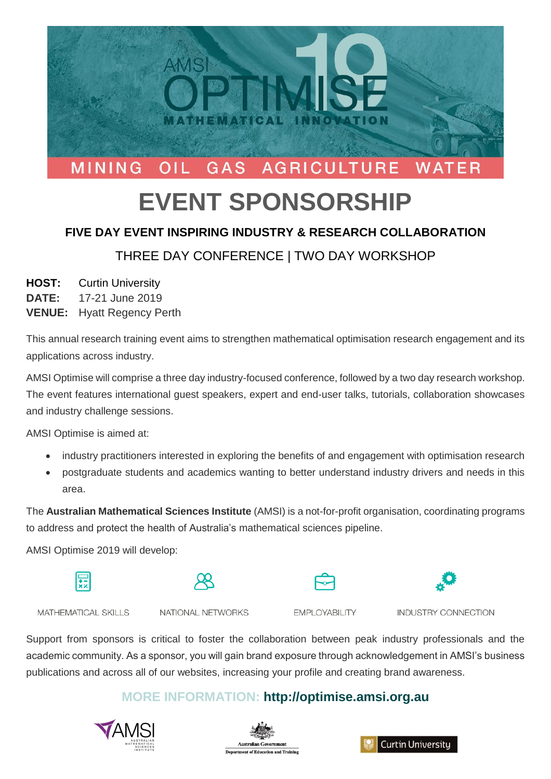

# **EVENT SPONSORSHIP**

### **FIVE DAY EVENT INSPIRING INDUSTRY & RESEARCH COLLABORATION**

# THREE DAY CONFERENCE | TWO DAY WORKSHOP

#### **HOST:** Curtin University

**DATE:** 17-21 June 2019

**VENUE:** Hyatt Regency Perth

This annual research training event aims to strengthen mathematical optimisation research engagement and its applications across industry.

AMSI Optimise will comprise a three day industry-focused conference, followed by a two day research workshop. The event features international guest speakers, expert and end-user talks, tutorials, collaboration showcases and industry challenge sessions.

AMSI Optimise is aimed at:

- industry practitioners interested in exploring the benefits of and engagement with optimisation research
- postgraduate students and academics wanting to better understand industry drivers and needs in this area.

The **Australian Mathematical Sciences Institute** (AMSI) is a not-for-profit organisation, coordinating programs to address and protect the health of Australia's mathematical sciences pipeline.

AMSI Optimise 2019 will develop:









MATHEMATICAL SKILLS

NATIONAL NETWORKS

**EMPLOYABILITY** 

INDUSTRY CONNECTION

Support from sponsors is critical to foster the collaboration between peak industry professionals and the academic community. As a sponsor, you will gain brand exposure through acknowledgement in AMSI's business publications and across all of our websites, increasing your profile and creating brand awareness.

## **MORE INFORMATION: http://optimise.amsi.org.au**